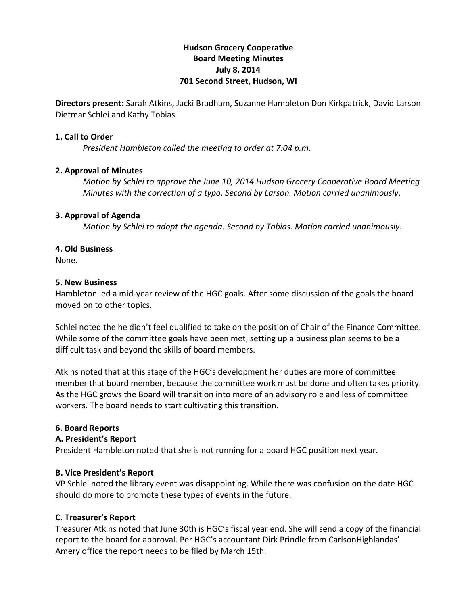## **Hudson'Grocery'Cooperative Board'Meeting'Minutes July'8,'2014 701 Second Street, Hudson, WI**

**Directors present:** Sarah Atkins, Jacki Bradham, Suzanne Hambleton Don Kirkpatrick, David Larson Dietmar Schlei and Kathy Tobias

#### **1. Call to Order**

*President Hambleton called the meeting to order at 7:04 p.m.* 

#### **2. Approval of Minutes**

*Motion)by)Schlei)to)approve)the)June)10,)2014 Hudson)Grocery)Cooperative)Board)Meeting) Minutes* with the correction of a typo. Second by Larson. Motion carried unanimously.

#### **3.'Approval'of Agenda**

*Motion by Schlei to adopt the agenda. Second by Tobias. Motion carried unanimously.* 

#### **4. Old'Business**

None.

#### **5.'New'Business'**

Hambleton led a mid-year review of the HGC goals. After some discussion of the goals the board moved on to other topics.

Schlei noted the he didn't feel qualified to take on the position of Chair of the Finance Committee. While some of the committee goals have been met, setting up a business plan seems to be a difficult task and beyond the skills of board members.

Atkins noted that at this stage of the HGC's development her duties are more of committee member that board member, because the committee work must be done and often takes priority. As the HGC grows the Board will transition into more of an advisory role and less of committee workers. The board needs to start cultivating this transition.

#### **6.'Board'Reports**

#### **A.'President's'Report**

President Hambleton noted that she is not running for a board HGC position next year.

#### **B.'Vice'President's Report**

VP Schlei noted the library event was disappointing. While there was confusion on the date HGC should do more to promote these types of events in the future.

#### **C.'Treasurer's'Report**

Treasurer Atkins noted that June 30th is HGC's fiscal year end. She will send a copy of the financial report to the board for approval. Per HGC's accountant Dirk Prindle from CarlsonHighlandas' Amery office the report needs to be filed by March 15th.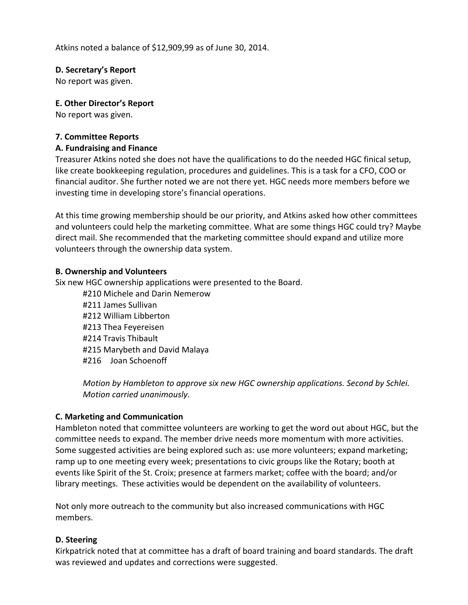Atkins noted a balance of \$12,909,99 as of June 30, 2014.

## **D. Secretary's Report**

No report was given.

## **E. Other'Director's'Report**

No report was given.

## **7.'Committee'Reports**

## **A.'Fundraising and'Finance'**

Treasurer Atkins noted she does not have the qualifications to do the needed HGC finical setup, like create bookkeeping regulation, procedures and guidelines. This is a task for a CFO, COO or financial auditor. She further noted we are not there yet. HGC needs more members before we investing time in developing store's financial operations.

At this time growing membership should be our priority, and Atkins asked how other committees and volunteers could help the marketing committee. What are some things HGC could try? Maybe direct mail. She recommended that the marketing committee should expand and utilize more volunteers through the ownership data system.

### **B.'Ownership and'Volunteers**

Six new HGC ownership applications were presented to the Board.

#210 Michele and Darin Nemerow #211 James Sullivan #212 William Libberton #213 Thea Feyereisen #214 Travis Thibault #215 Marybeth and David Malaya #216 Joan Schoenoff

*Motion by Hambleton to approve six new HGC ownership applications. Second by Schlei. Motion carried unanimously.* 

# **C.'Marketing'and'Communication**

Hambleton noted that committee volunteers are working to get the word out about HGC, but the committee needs to expand. The member drive needs more momentum with more activities. Some suggested activities are being explored such as: use more volunteers; expand marketing; ramp up to one meeting every week; presentations to civic groups like the Rotary; booth at events like Spirit of the St. Croix; presence at farmers market; coffee with the board; and/or library meetings. These activities would be dependent on the availability of volunteers.

Not only more outreach to the community but also increased communications with HGC members.

# **D.** Steering

Kirkpatrick noted that at committee has a draft of board training and board standards. The draft was reviewed and updates and corrections were suggested.